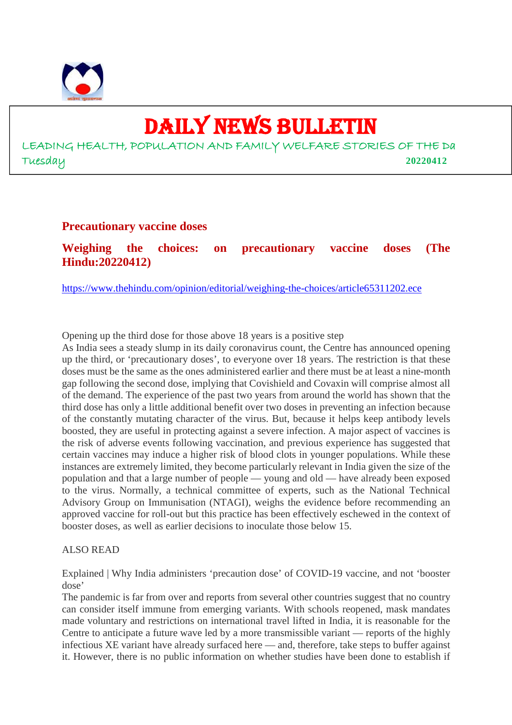

# DAILY NEWS BULLETIN

LEADING HEALTH, POPULATION AND FAMILY WELFARE STORIES OF THE Da Tuesday **20220412**

#### **Precautionary vaccine doses**

**Weighing the choices: on precautionary vaccine doses (The Hindu:20220412)**

https://www.thehindu.com/opinion/editorial/weighing-the-choices/article65311202.ece

Opening up the third dose for those above 18 years is a positive step

As India sees a steady slump in its daily coronavirus count, the Centre has announced opening up the third, or 'precautionary doses', to everyone over 18 years. The restriction is that these doses must be the same as the ones administered earlier and there must be at least a nine-month gap following the second dose, implying that Covishield and Covaxin will comprise almost all of the demand. The experience of the past two years from around the world has shown that the third dose has only a little additional benefit over two doses in preventing an infection because of the constantly mutating character of the virus. But, because it helps keep antibody levels boosted, they are useful in protecting against a severe infection. A major aspect of vaccines is the risk of adverse events following vaccination, and previous experience has suggested that certain vaccines may induce a higher risk of blood clots in younger populations. While these instances are extremely limited, they become particularly relevant in India given the size of the population and that a large number of people — young and old — have already been exposed to the virus. Normally, a technical committee of experts, such as the National Technical Advisory Group on Immunisation (NTAGI), weighs the evidence before recommending an approved vaccine for roll-out but this practice has been effectively eschewed in the context of booster doses, as well as earlier decisions to inoculate those below 15.

#### ALSO READ

Explained | Why India administers 'precaution dose' of COVID-19 vaccine, and not 'booster dose'

The pandemic is far from over and reports from several other countries suggest that no country can consider itself immune from emerging variants. With schools reopened, mask mandates made voluntary and restrictions on international travel lifted in India, it is reasonable for the Centre to anticipate a future wave led by a more transmissible variant — reports of the highly infectious XE variant have already surfaced here — and, therefore, take steps to buffer against it. However, there is no public information on whether studies have been done to establish if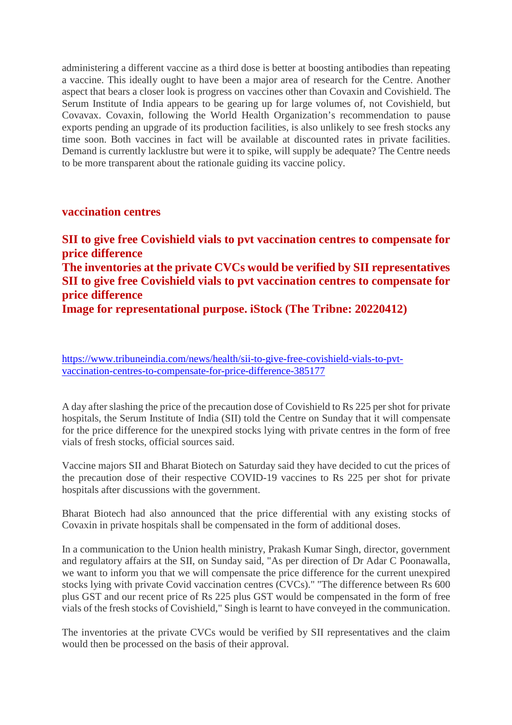administering a different vaccine as a third dose is better at boosting antibodies than repeating a vaccine. This ideally ought to have been a major area of research for the Centre. Another aspect that bears a closer look is progress on vaccines other than Covaxin and Covishield. The Serum Institute of India appears to be gearing up for large volumes of, not Covishield, but Covavax. Covaxin, following the World Health Organization's recommendation to pause exports pending an upgrade of its production facilities, is also unlikely to see fresh stocks any time soon. Both vaccines in fact will be available at discounted rates in private facilities. Demand is currently lacklustre but were it to spike, will supply be adequate? The Centre needs to be more transparent about the rationale guiding its vaccine policy.

#### **vaccination centres**

**SII to give free Covishield vials to pvt vaccination centres to compensate for price difference The inventories at the private CVCs would be verified by SII representatives SII to give free Covishield vials to pvt vaccination centres to compensate for price difference Image for representational purpose. iStock (The Tribne: 20220412)**

https://www.tribuneindia.com/news/health/sii-to-give-free-covishield-vials-to-pvtvaccination-centres-to-compensate-for-price-difference-385177

A day after slashing the price of the precaution dose of Covishield to Rs 225 per shot for private hospitals, the Serum Institute of India (SII) told the Centre on Sunday that it will compensate for the price difference for the unexpired stocks lying with private centres in the form of free vials of fresh stocks, official sources said.

Vaccine majors SII and Bharat Biotech on Saturday said they have decided to cut the prices of the precaution dose of their respective COVID-19 vaccines to Rs 225 per shot for private hospitals after discussions with the government.

Bharat Biotech had also announced that the price differential with any existing stocks of Covaxin in private hospitals shall be compensated in the form of additional doses.

In a communication to the Union health ministry, Prakash Kumar Singh, director, government and regulatory affairs at the SII, on Sunday said, "As per direction of Dr Adar C Poonawalla, we want to inform you that we will compensate the price difference for the current unexpired stocks lying with private Covid vaccination centres (CVCs)." "The difference between Rs 600 plus GST and our recent price of Rs 225 plus GST would be compensated in the form of free vials of the fresh stocks of Covishield," Singh is learnt to have conveyed in the communication.

The inventories at the private CVCs would be verified by SII representatives and the claim would then be processed on the basis of their approval.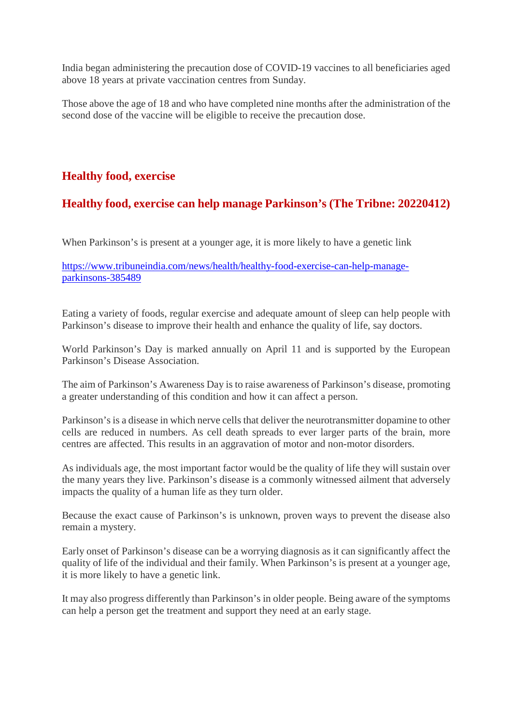India began administering the precaution dose of COVID-19 vaccines to all beneficiaries aged above 18 years at private vaccination centres from Sunday.

Those above the age of 18 and who have completed nine months after the administration of the second dose of the vaccine will be eligible to receive the precaution dose.

# **Healthy food, exercise**

# **Healthy food, exercise can help manage Parkinson's (The Tribne: 20220412)**

When Parkinson's is present at a younger age, it is more likely to have a genetic link

https://www.tribuneindia.com/news/health/healthy-food-exercise-can-help-manageparkinsons-385489

Eating a variety of foods, regular exercise and adequate amount of sleep can help people with Parkinson's disease to improve their health and enhance the quality of life, say doctors.

World Parkinson's Day is marked annually on April 11 and is supported by the European Parkinson's Disease Association.

The aim of Parkinson's Awareness Day is to raise awareness of Parkinson's disease, promoting a greater understanding of this condition and how it can affect a person.

Parkinson's is a disease in which nerve cells that deliver the neurotransmitter dopamine to other cells are reduced in numbers. As cell death spreads to ever larger parts of the brain, more centres are affected. This results in an aggravation of motor and non-motor disorders.

As individuals age, the most important factor would be the quality of life they will sustain over the many years they live. Parkinson's disease is a commonly witnessed ailment that adversely impacts the quality of a human life as they turn older.

Because the exact cause of Parkinson's is unknown, proven ways to prevent the disease also remain a mystery.

Early onset of Parkinson's disease can be a worrying diagnosis as it can significantly affect the quality of life of the individual and their family. When Parkinson's is present at a younger age, it is more likely to have a genetic link.

It may also progress differently than Parkinson's in older people. Being aware of the symptoms can help a person get the treatment and support they need at an early stage.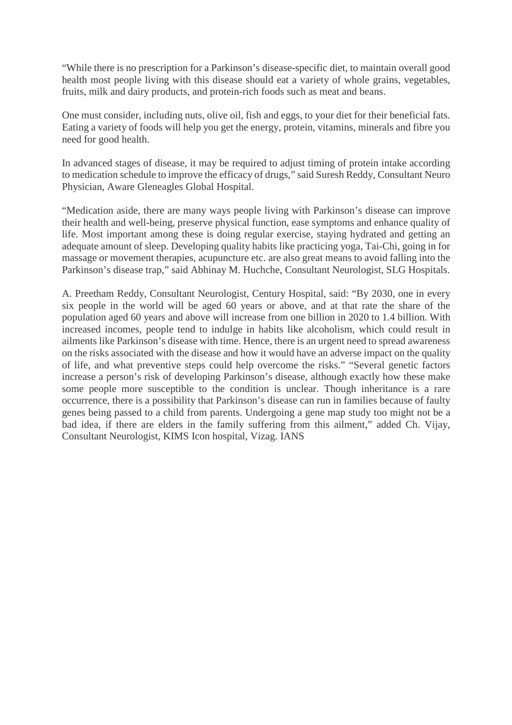"While there is no prescription for a Parkinson's disease-specific diet, to maintain overall good health most people living with this disease should eat a variety of whole grains, vegetables, fruits, milk and dairy products, and protein-rich foods such as meat and beans.

One must consider, including nuts, olive oil, fish and eggs, to your diet for their beneficial fats. Eating a variety of foods will help you get the energy, protein, vitamins, minerals and fibre you need for good health.

In advanced stages of disease, it may be required to adjust timing of protein intake according to medication schedule to improve the efficacy of drugs," said Suresh Reddy, Consultant Neuro Physician, Aware Gleneagles Global Hospital.

"Medication aside, there are many ways people living with Parkinson's disease can improve their health and well-being, preserve physical function, ease symptoms and enhance quality of life. Most important among these is doing regular exercise, staying hydrated and getting an adequate amount of sleep. Developing quality habits like practicing yoga, Tai-Chi, going in for massage or movement therapies, acupuncture etc. are also great means to avoid falling into the Parkinson's disease trap," said Abhinay M. Huchche, Consultant Neurologist, SLG Hospitals.

A. Preetham Reddy, Consultant Neurologist, Century Hospital, said: "By 2030, one in every six people in the world will be aged 60 years or above, and at that rate the share of the population aged 60 years and above will increase from one billion in 2020 to 1.4 billion. With increased incomes, people tend to indulge in habits like alcoholism, which could result in ailments like Parkinson's disease with time. Hence, there is an urgent need to spread awareness on the risks associated with the disease and how it would have an adverse impact on the quality of life, and what preventive steps could help overcome the risks." "Several genetic factors increase a person's risk of developing Parkinson's disease, although exactly how these make some people more susceptible to the condition is unclear. Though inheritance is a rare occurrence, there is a possibility that Parkinson's disease can run in families because of faulty genes being passed to a child from parents. Undergoing a gene map study too might not be a bad idea, if there are elders in the family suffering from this ailment," added Ch. Vijay, Consultant Neurologist, KIMS Icon hospital, Vizag. IANS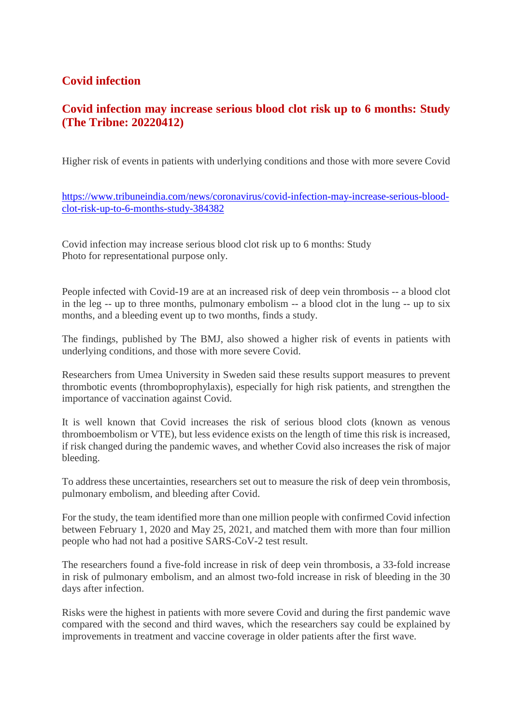# **Covid infection**

# **Covid infection may increase serious blood clot risk up to 6 months: Study (The Tribne: 20220412)**

Higher risk of events in patients with underlying conditions and those with more severe Covid

https://www.tribuneindia.com/news/coronavirus/covid-infection-may-increase-serious-bloodclot-risk-up-to-6-months-study-384382

Covid infection may increase serious blood clot risk up to 6 months: Study Photo for representational purpose only.

People infected with Covid-19 are at an increased risk of deep vein thrombosis -- a blood clot in the leg -- up to three months, pulmonary embolism -- a blood clot in the lung -- up to six months, and a bleeding event up to two months, finds a study.

The findings, published by The BMJ, also showed a higher risk of events in patients with underlying conditions, and those with more severe Covid.

Researchers from Umea University in Sweden said these results support measures to prevent thrombotic events (thromboprophylaxis), especially for high risk patients, and strengthen the importance of vaccination against Covid.

It is well known that Covid increases the risk of serious blood clots (known as venous thromboembolism or VTE), but less evidence exists on the length of time this risk is increased, if risk changed during the pandemic waves, and whether Covid also increases the risk of major bleeding.

To address these uncertainties, researchers set out to measure the risk of deep vein thrombosis, pulmonary embolism, and bleeding after Covid.

For the study, the team identified more than one million people with confirmed Covid infection between February 1, 2020 and May 25, 2021, and matched them with more than four million people who had not had a positive SARS-CoV-2 test result.

The researchers found a five-fold increase in risk of deep vein thrombosis, a 33-fold increase in risk of pulmonary embolism, and an almost two-fold increase in risk of bleeding in the 30 days after infection.

Risks were the highest in patients with more severe Covid and during the first pandemic wave compared with the second and third waves, which the researchers say could be explained by improvements in treatment and vaccine coverage in older patients after the first wave.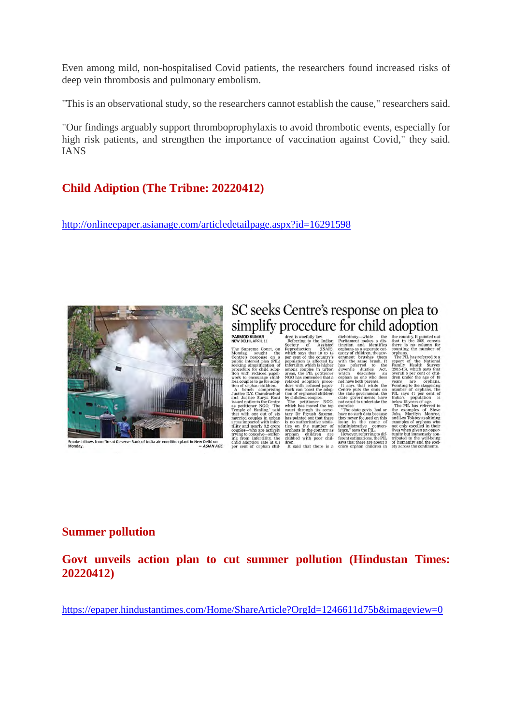Even among mild, non-hospitalised Covid patients, the researchers found increased risks of deep vein thrombosis and pulmonary embolism.

"This is an observational study, so the researchers cannot establish the cause," researchers said.

"Our findings arguably support thromboprophylaxis to avoid thrombotic events, especially for high risk patients, and strengthen the importance of vaccination against Covid," they said. IANS

# **Child Adiption (The Tribne: 20220412)**

http://onlineepaper.asianage.com/articledetailpage.aspx?id=16291598



Smoke billows from fire at Reserve Bank of India air-condition plant in New Delhi on Monday.<br>Monday.  $-$  ASIAN AGE

PARMOD KUMAR plea

SC seeks Centre's response on plea to simplify procedure for child adoption

the<br>Act. which  $the$ 

had or

rphans.<br>The PIL has r

# **Summer pollution**

# **Govt unveils action plan to cut summer pollution (Hindustan Times: 20220412)**

https://epaper.hindustantimes.com/Home/ShareArticle?OrgId=1246611d75b&imageview=0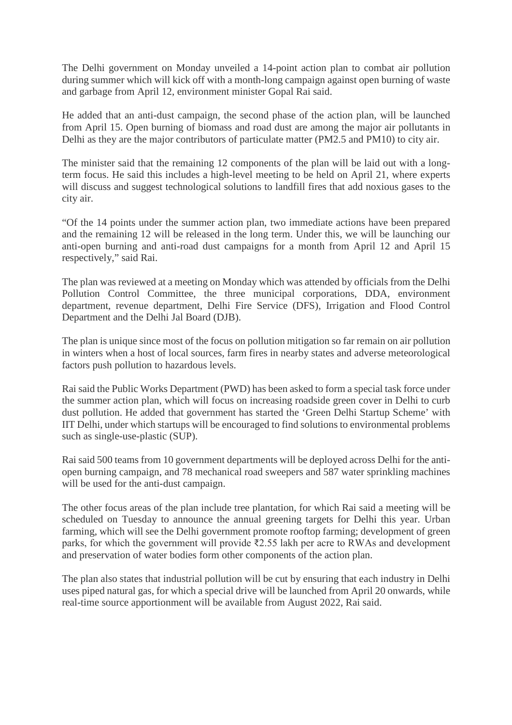The Delhi government on Monday unveiled a 14-point action plan to combat air pollution during summer which will kick off with a month-long campaign against open burning of waste and garbage from April 12, environment minister Gopal Rai said.

He added that an anti-dust campaign, the second phase of the action plan, will be launched from April 15. Open burning of biomass and road dust are among the major air pollutants in Delhi as they are the major contributors of particulate matter (PM2.5 and PM10) to city air.

The minister said that the remaining 12 components of the plan will be laid out with a longterm focus. He said this includes a high-level meeting to be held on April 21, where experts will discuss and suggest technological solutions to landfill fires that add noxious gases to the city air.

"Of the 14 points under the summer action plan, two immediate actions have been prepared and the remaining 12 will be released in the long term. Under this, we will be launching our anti-open burning and anti-road dust campaigns for a month from April 12 and April 15 respectively," said Rai.

The plan was reviewed at a meeting on Monday which was attended by officials from the Delhi Pollution Control Committee, the three municipal corporations, DDA, environment department, revenue department, Delhi Fire Service (DFS), Irrigation and Flood Control Department and the Delhi Jal Board (DJB).

The plan is unique since most of the focus on pollution mitigation so far remain on air pollution in winters when a host of local sources, farm fires in nearby states and adverse meteorological factors push pollution to hazardous levels.

Rai said the Public Works Department (PWD) has been asked to form a special task force under the summer action plan, which will focus on increasing roadside green cover in Delhi to curb dust pollution. He added that government has started the 'Green Delhi Startup Scheme' with IIT Delhi, under which startups will be encouraged to find solutions to environmental problems such as single-use-plastic (SUP).

Rai said 500 teams from 10 government departments will be deployed across Delhi for the antiopen burning campaign, and 78 mechanical road sweepers and 587 water sprinkling machines will be used for the anti-dust campaign.

The other focus areas of the plan include tree plantation, for which Rai said a meeting will be scheduled on Tuesday to announce the annual greening targets for Delhi this year. Urban farming, which will see the Delhi government promote rooftop farming; development of green parks, for which the government will provide ₹2.55 lakh per acre to RWAs and development and preservation of water bodies form other components of the action plan.

The plan also states that industrial pollution will be cut by ensuring that each industry in Delhi uses piped natural gas, for which a special drive will be launched from April 20 onwards, while real-time source apportionment will be available from August 2022, Rai said.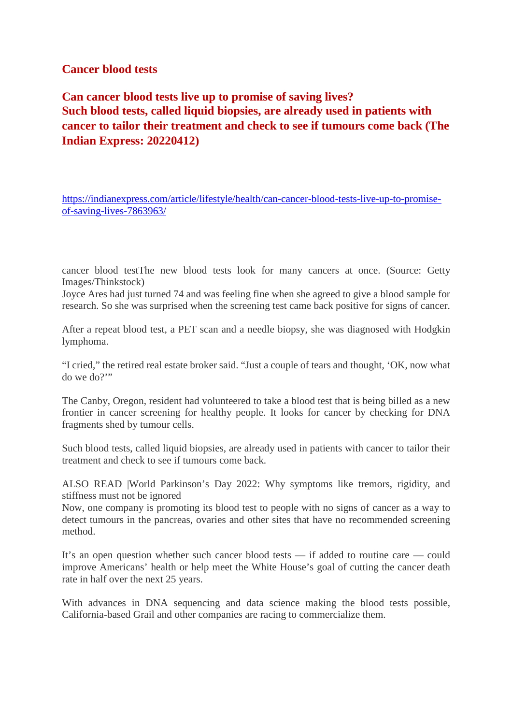# **Cancer blood tests**

**Can cancer blood tests live up to promise of saving lives? Such blood tests, called liquid biopsies, are already used in patients with cancer to tailor their treatment and check to see if tumours come back (The Indian Express: 20220412)**

https://indianexpress.com/article/lifestyle/health/can-cancer-blood-tests-live-up-to-promiseof-saving-lives-7863963/

cancer blood testThe new blood tests look for many cancers at once. (Source: Getty Images/Thinkstock)

Joyce Ares had just turned 74 and was feeling fine when she agreed to give a blood sample for research. So she was surprised when the screening test came back positive for signs of cancer.

After a repeat blood test, a PET scan and a needle biopsy, she was diagnosed with Hodgkin lymphoma.

"I cried," the retired real estate broker said. "Just a couple of tears and thought, 'OK, now what do we do?'"

The Canby, Oregon, resident had volunteered to take a blood test that is being billed as a new frontier in cancer screening for healthy people. It looks for cancer by checking for DNA fragments shed by tumour cells.

Such blood tests, called liquid biopsies, are already used in patients with cancer to tailor their treatment and check to see if tumours come back.

ALSO READ |World Parkinson's Day 2022: Why symptoms like tremors, rigidity, and stiffness must not be ignored

Now, one company is promoting its blood test to people with no signs of cancer as a way to detect tumours in the pancreas, ovaries and other sites that have no recommended screening method.

It's an open question whether such cancer blood tests — if added to routine care — could improve Americans' health or help meet the White House's goal of cutting the cancer death rate in half over the next 25 years.

With advances in DNA sequencing and data science making the blood tests possible, California-based Grail and other companies are racing to commercialize them.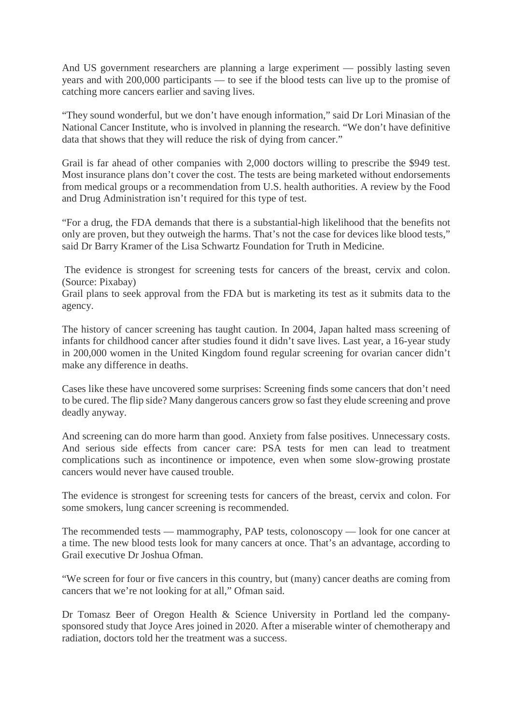And US government researchers are planning a large experiment — possibly lasting seven years and with 200,000 participants — to see if the blood tests can live up to the promise of catching more cancers earlier and saving lives.

"They sound wonderful, but we don't have enough information," said Dr Lori Minasian of the National Cancer Institute, who is involved in planning the research. "We don't have definitive data that shows that they will reduce the risk of dying from cancer."

Grail is far ahead of other companies with 2,000 doctors willing to prescribe the \$949 test. Most insurance plans don't cover the cost. The tests are being marketed without endorsements from medical groups or a recommendation from U.S. health authorities. A review by the Food and Drug Administration isn't required for this type of test.

"For a drug, the FDA demands that there is a substantial-high likelihood that the benefits not only are proven, but they outweigh the harms. That's not the case for devices like blood tests," said Dr Barry Kramer of the Lisa Schwartz Foundation for Truth in Medicine.

The evidence is strongest for screening tests for cancers of the breast, cervix and colon. (Source: Pixabay)

Grail plans to seek approval from the FDA but is marketing its test as it submits data to the agency.

The history of cancer screening has taught caution. In 2004, Japan halted mass screening of infants for childhood cancer after studies found it didn't save lives. Last year, a 16-year study in 200,000 women in the United Kingdom found regular screening for ovarian cancer didn't make any difference in deaths.

Cases like these have uncovered some surprises: Screening finds some cancers that don't need to be cured. The flip side? Many dangerous cancers grow so fast they elude screening and prove deadly anyway.

And screening can do more harm than good. Anxiety from false positives. Unnecessary costs. And serious side effects from cancer care: PSA tests for men can lead to treatment complications such as incontinence or impotence, even when some slow-growing prostate cancers would never have caused trouble.

The evidence is strongest for screening tests for cancers of the breast, cervix and colon. For some smokers, lung cancer screening is recommended.

The recommended tests — mammography, PAP tests, colonoscopy — look for one cancer at a time. The new blood tests look for many cancers at once. That's an advantage, according to Grail executive Dr Joshua Ofman.

"We screen for four or five cancers in this country, but (many) cancer deaths are coming from cancers that we're not looking for at all," Ofman said.

Dr Tomasz Beer of Oregon Health & Science University in Portland led the companysponsored study that Joyce Ares joined in 2020. After a miserable winter of chemotherapy and radiation, doctors told her the treatment was a success.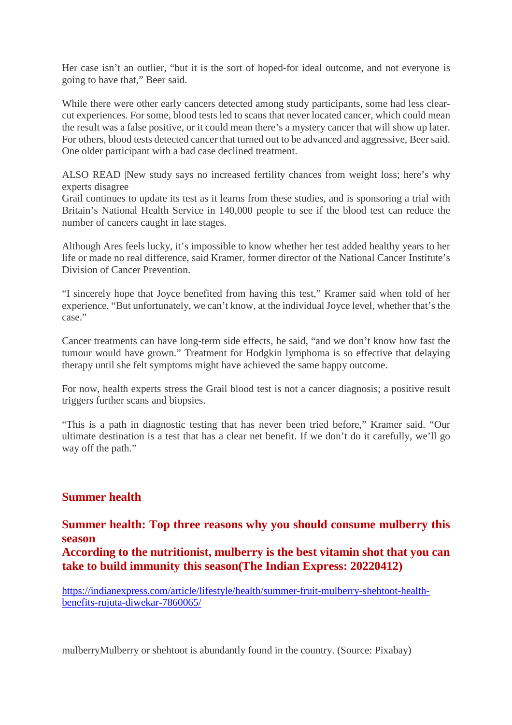Her case isn't an outlier, "but it is the sort of hoped-for ideal outcome, and not everyone is going to have that," Beer said.

While there were other early cancers detected among study participants, some had less clearcut experiences. For some, blood tests led to scans that never located cancer, which could mean the result was a false positive, or it could mean there's a mystery cancer that will show up later. For others, blood tests detected cancer that turned out to be advanced and aggressive, Beer said. One older participant with a bad case declined treatment.

ALSO READ |New study says no increased fertility chances from weight loss; here's why experts disagree

Grail continues to update its test as it learns from these studies, and is sponsoring a trial with Britain's National Health Service in 140,000 people to see if the blood test can reduce the number of cancers caught in late stages.

Although Ares feels lucky, it's impossible to know whether her test added healthy years to her life or made no real difference, said Kramer, former director of the National Cancer Institute's Division of Cancer Prevention.

"I sincerely hope that Joyce benefited from having this test," Kramer said when told of her experience. "But unfortunately, we can't know, at the individual Joyce level, whether that's the case."

Cancer treatments can have long-term side effects, he said, "and we don't know how fast the tumour would have grown." Treatment for Hodgkin lymphoma is so effective that delaying therapy until she felt symptoms might have achieved the same happy outcome.

For now, health experts stress the Grail blood test is not a cancer diagnosis; a positive result triggers further scans and biopsies.

"This is a path in diagnostic testing that has never been tried before," Kramer said. "Our ultimate destination is a test that has a clear net benefit. If we don't do it carefully, we'll go way off the path."

# **Summer health**

# **Summer health: Top three reasons why you should consume mulberry this season**

**According to the nutritionist, mulberry is the best vitamin shot that you can take to build immunity this season(The Indian Express: 20220412)**

https://indianexpress.com/article/lifestyle/health/summer-fruit-mulberry-shehtoot-healthbenefits-rujuta-diwekar-7860065/

mulberryMulberry or shehtoot is abundantly found in the country. (Source: Pixabay)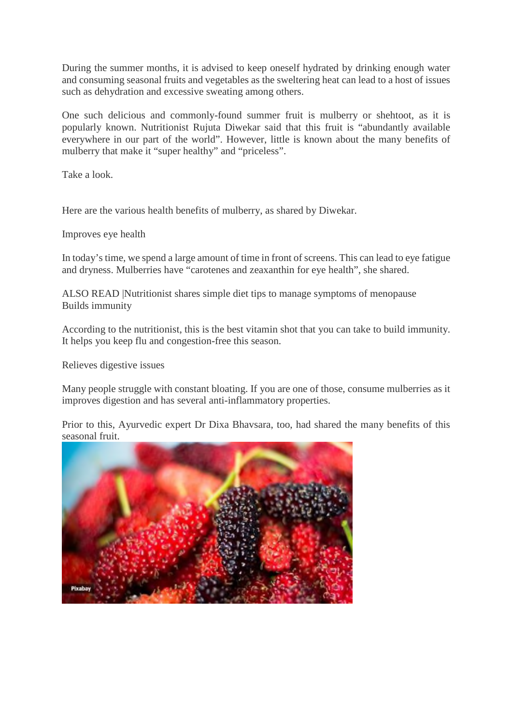During the summer months, it is advised to keep oneself hydrated by drinking enough water and consuming seasonal fruits and vegetables as the sweltering heat can lead to a host of issues such as dehydration and excessive sweating among others.

One such delicious and commonly-found summer fruit is mulberry or shehtoot, as it is popularly known. Nutritionist Rujuta Diwekar said that this fruit is "abundantly available everywhere in our part of the world". However, little is known about the many benefits of mulberry that make it "super healthy" and "priceless".

Take a look.

Here are the various health benefits of mulberry, as shared by Diwekar.

Improves eye health

In today's time, we spend a large amount of time in front of screens. This can lead to eye fatigue and dryness. Mulberries have "carotenes and zeaxanthin for eye health", she shared.

ALSO READ |Nutritionist shares simple diet tips to manage symptoms of menopause Builds immunity

According to the nutritionist, this is the best vitamin shot that you can take to build immunity. It helps you keep flu and congestion-free this season.

Relieves digestive issues

Many people struggle with constant bloating. If you are one of those, consume mulberries as it improves digestion and has several anti-inflammatory properties.

Prior to this, Ayurvedic expert Dr Dixa Bhavsara, too, had shared the many benefits of this seasonal fruit.

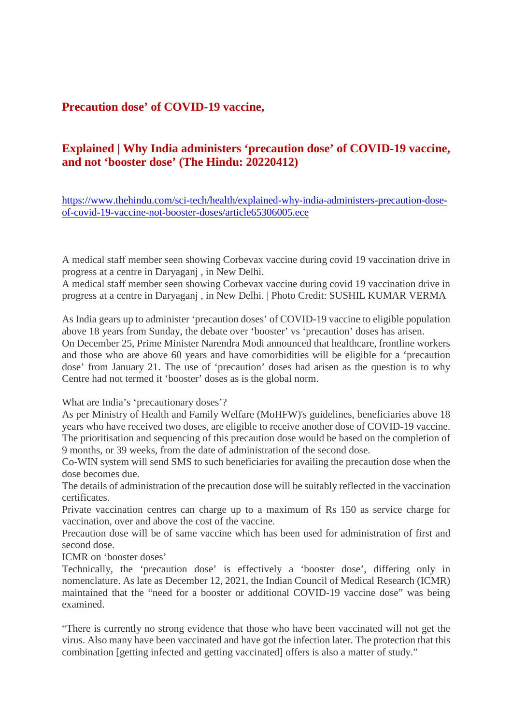# **Precaution dose' of COVID-19 vaccine,**

# **Explained | Why India administers 'precaution dose' of COVID-19 vaccine, and not 'booster dose' (The Hindu: 20220412)**

https://www.thehindu.com/sci-tech/health/explained-why-india-administers-precaution-doseof-covid-19-vaccine-not-booster-doses/article65306005.ece

A medical staff member seen showing Corbevax vaccine during covid 19 vaccination drive in progress at a centre in Daryaganj , in New Delhi.

A medical staff member seen showing Corbevax vaccine during covid 19 vaccination drive in progress at a centre in Daryaganj , in New Delhi. | Photo Credit: SUSHIL KUMAR VERMA

As India gears up to administer 'precaution doses' of COVID-19 vaccine to eligible population above 18 years from Sunday, the debate over 'booster' vs 'precaution' doses has arisen.

On December 25, Prime Minister Narendra Modi announced that healthcare, frontline workers and those who are above 60 years and have comorbidities will be eligible for a 'precaution dose' from January 21. The use of 'precaution' doses had arisen as the question is to why Centre had not termed it 'booster' doses as is the global norm.

What are India's 'precautionary doses'?

As per Ministry of Health and Family Welfare (MoHFW)'s guidelines, beneficiaries above 18 years who have received two doses, are eligible to receive another dose of COVID-19 vaccine. The prioritisation and sequencing of this precaution dose would be based on the completion of 9 months, or 39 weeks, from the date of administration of the second dose.

Co-WIN system will send SMS to such beneficiaries for availing the precaution dose when the dose becomes due.

The details of administration of the precaution dose will be suitably reflected in the vaccination certificates.

Private vaccination centres can charge up to a maximum of Rs 150 as service charge for vaccination, over and above the cost of the vaccine.

Precaution dose will be of same vaccine which has been used for administration of first and second dose.

ICMR on 'booster doses'

Technically, the 'precaution dose' is effectively a 'booster dose', differing only in nomenclature. As late as December 12, 2021, the Indian Council of Medical Research (ICMR) maintained that the "need for a booster or additional COVID-19 vaccine dose" was being examined.

"There is currently no strong evidence that those who have been vaccinated will not get the virus. Also many have been vaccinated and have got the infection later. The protection that this combination [getting infected and getting vaccinated] offers is also a matter of study."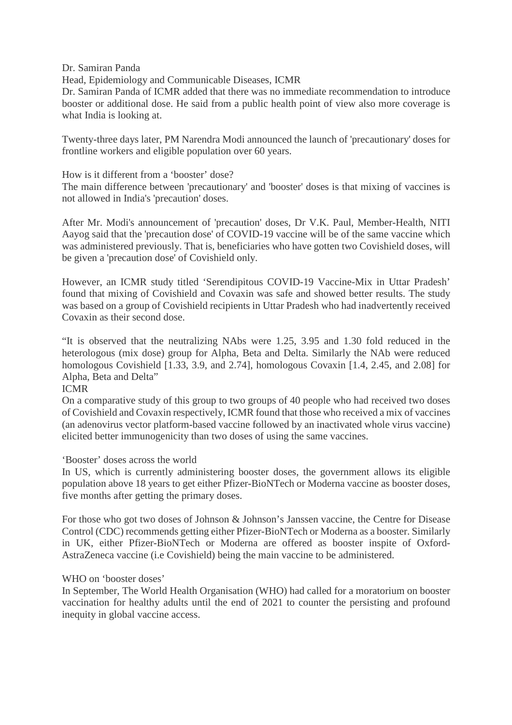Dr. Samiran Panda

Head, Epidemiology and Communicable Diseases, ICMR

Dr. Samiran Panda of ICMR added that there was no immediate recommendation to introduce booster or additional dose. He said from a public health point of view also more coverage is what India is looking at.

Twenty-three days later, PM Narendra Modi announced the launch of 'precautionary' doses for frontline workers and eligible population over 60 years.

#### How is it different from a 'booster' dose?

The main difference between 'precautionary' and 'booster' doses is that mixing of vaccines is not allowed in India's 'precaution' doses.

After Mr. Modi's announcement of 'precaution' doses, Dr V.K. Paul, Member-Health, NITI Aayog said that the 'precaution dose' of COVID-19 vaccine will be of the same vaccine which was administered previously. That is, beneficiaries who have gotten two Covishield doses, will be given a 'precaution dose' of Covishield only.

However, an ICMR study titled 'Serendipitous COVID-19 Vaccine-Mix in Uttar Pradesh' found that mixing of Covishield and Covaxin was safe and showed better results. The study was based on a group of Covishield recipients in Uttar Pradesh who had inadvertently received Covaxin as their second dose.

"It is observed that the neutralizing NAbs were 1.25, 3.95 and 1.30 fold reduced in the heterologous (mix dose) group for Alpha, Beta and Delta. Similarly the NAb were reduced homologous Covishield [1.33, 3.9, and 2.74], homologous Covaxin [1.4, 2.45, and 2.08] for Alpha, Beta and Delta"

#### ICMR

On a comparative study of this group to two groups of 40 people who had received two doses of Covishield and Covaxin respectively, ICMR found that those who received a mix of vaccines (an adenovirus vector platform-based vaccine followed by an inactivated whole virus vaccine) elicited better immunogenicity than two doses of using the same vaccines.

#### 'Booster' doses across the world

In US, which is currently administering booster doses, the government allows its eligible population above 18 years to get either Pfizer-BioNTech or Moderna vaccine as booster doses, five months after getting the primary doses.

For those who got two doses of Johnson & Johnson's Janssen vaccine, the Centre for Disease Control (CDC) recommends getting either Pfizer-BioNTech or Moderna as a booster. Similarly in UK, either Pfizer-BioNTech or Moderna are offered as booster inspite of Oxford-AstraZeneca vaccine (i.e Covishield) being the main vaccine to be administered.

#### WHO on 'booster doses'

In September, The World Health Organisation (WHO) had called for a moratorium on booster vaccination for healthy adults until the end of 2021 to counter the persisting and profound inequity in global vaccine access.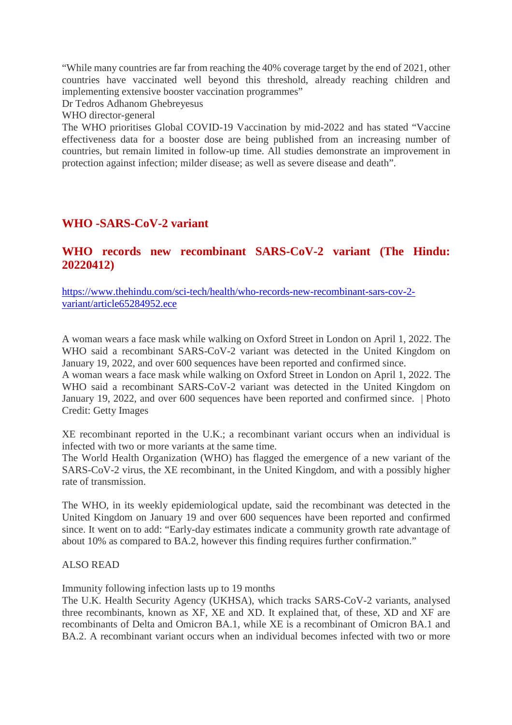"While many countries are far from reaching the 40% coverage target by the end of 2021, other countries have vaccinated well beyond this threshold, already reaching children and implementing extensive booster vaccination programmes"

Dr Tedros Adhanom Ghebreyesus

WHO director-general

The WHO prioritises Global COVID-19 Vaccination by mid-2022 and has stated "Vaccine effectiveness data for a booster dose are being published from an increasing number of countries, but remain limited in follow-up time. All studies demonstrate an improvement in protection against infection; milder disease; as well as severe disease and death".

# **WHO -SARS-CoV-2 variant**

# **WHO records new recombinant SARS-CoV-2 variant (The Hindu: 20220412)**

https://www.thehindu.com/sci-tech/health/who-records-new-recombinant-sars-cov-2 variant/article65284952.ece

A woman wears a face mask while walking on Oxford Street in London on April 1, 2022. The WHO said a recombinant SARS-CoV-2 variant was detected in the United Kingdom on January 19, 2022, and over 600 sequences have been reported and confirmed since.

A woman wears a face mask while walking on Oxford Street in London on April 1, 2022. The WHO said a recombinant SARS-CoV-2 variant was detected in the United Kingdom on January 19, 2022, and over 600 sequences have been reported and confirmed since. | Photo Credit: Getty Images

XE recombinant reported in the U.K.; a recombinant variant occurs when an individual is infected with two or more variants at the same time.

The World Health Organization (WHO) has flagged the emergence of a new variant of the SARS-CoV-2 virus, the XE recombinant, in the United Kingdom, and with a possibly higher rate of transmission.

The WHO, in its weekly epidemiological update, said the recombinant was detected in the United Kingdom on January 19 and over 600 sequences have been reported and confirmed since. It went on to add: "Early-day estimates indicate a community growth rate advantage of about 10% as compared to BA.2, however this finding requires further confirmation."

#### ALSO READ

Immunity following infection lasts up to 19 months

The U.K. Health Security Agency (UKHSA), which tracks SARS-CoV-2 variants, analysed three recombinants, known as XF, XE and XD. It explained that, of these, XD and XF are recombinants of Delta and Omicron BA.1, while XE is a recombinant of Omicron BA.1 and BA.2. A recombinant variant occurs when an individual becomes infected with two or more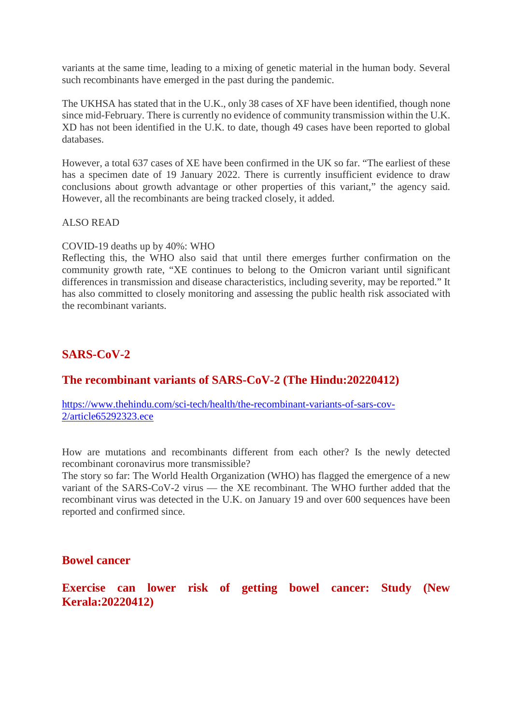variants at the same time, leading to a mixing of genetic material in the human body. Several such recombinants have emerged in the past during the pandemic.

The UKHSA has stated that in the U.K., only 38 cases of XF have been identified, though none since mid-February. There is currently no evidence of community transmission within the U.K. XD has not been identified in the U.K. to date, though 49 cases have been reported to global databases.

However, a total 637 cases of XE have been confirmed in the UK so far. "The earliest of these has a specimen date of 19 January 2022. There is currently insufficient evidence to draw conclusions about growth advantage or other properties of this variant," the agency said. However, all the recombinants are being tracked closely, it added.

ALSO READ

COVID-19 deaths up by 40%: WHO

Reflecting this, the WHO also said that until there emerges further confirmation on the community growth rate, "XE continues to belong to the Omicron variant until significant differences in transmission and disease characteristics, including severity, may be reported." It has also committed to closely monitoring and assessing the public health risk associated with the recombinant variants.

# **SARS-CoV-2**

# **The recombinant variants of SARS-CoV-2 (The Hindu:20220412)**

https://www.thehindu.com/sci-tech/health/the-recombinant-variants-of-sars-cov-2/article65292323.ece

How are mutations and recombinants different from each other? Is the newly detected recombinant coronavirus more transmissible?

The story so far: The World Health Organization (WHO) has flagged the emergence of a new variant of the SARS-CoV-2 virus — the XE recombinant. The WHO further added that the recombinant virus was detected in the U.K. on January 19 and over 600 sequences have been reported and confirmed since.

#### **Bowel cancer**

**Exercise can lower risk of getting bowel cancer: Study (New Kerala:20220412)**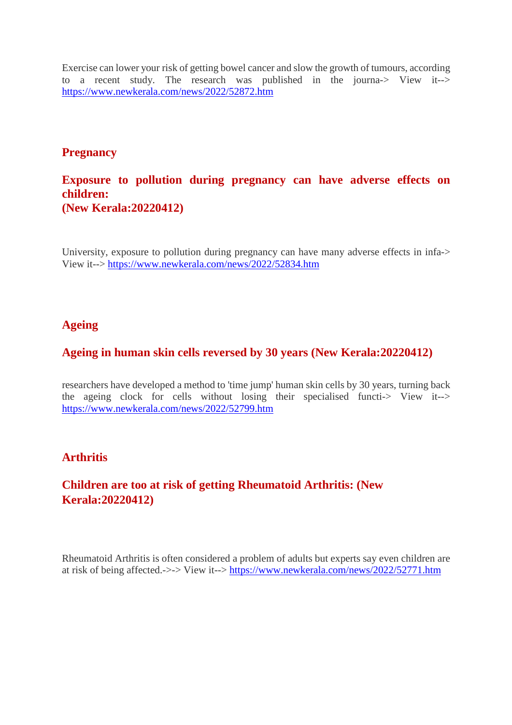Exercise can lower your risk of getting bowel cancer and slow the growth of tumours, according to a recent study. The research was published in the journa-> View it--> https://www.newkerala.com/news/2022/52872.htm

# **Pregnancy**

# **Exposure to pollution during pregnancy can have adverse effects on children: (New Kerala:20220412)**

University, exposure to pollution during pregnancy can have many adverse effects in infa-> View it--> https://www.newkerala.com/news/2022/52834.htm

# **Ageing**

# **Ageing in human skin cells reversed by 30 years (New Kerala:20220412)**

researchers have developed a method to 'time jump' human skin cells by 30 years, turning back the ageing clock for cells without losing their specialised functi-> View it--> https://www.newkerala.com/news/2022/52799.htm

# **Arthritis**

# **Children are too at risk of getting Rheumatoid Arthritis: (New Kerala:20220412)**

Rheumatoid Arthritis is often considered a problem of adults but experts say even children are at risk of being affected.->-> View it--> https://www.newkerala.com/news/2022/52771.htm